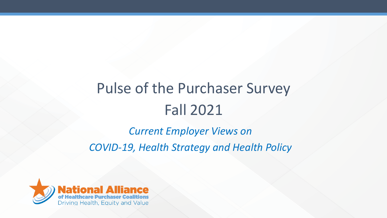# Pulse of the Purchaser Survey Fall 2021

*Current Employer Views on COVID-19, Health Strategy and Health Policy*

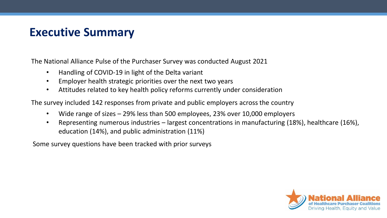### **Executive Summary**

The National Alliance Pulse of the Purchaser Survey was conducted August 2021

- Handling of COVID-19 in light of the Delta variant
- Employer health strategic priorities over the next two years
- Attitudes related to key health policy reforms currently under consideration

The survey included 142 responses from private and public employers across the country

- Wide range of sizes 29% less than 500 employees, 23% over 10,000 employers
- Representing numerous industries largest concentrations in manufacturing (18%), healthcare (16%), education (14%), and public administration (11%)

Some survey questions have been tracked with prior surveys

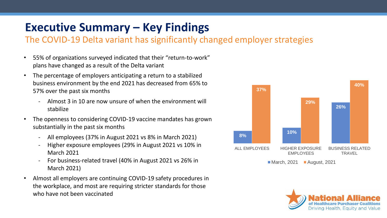## **Executive Summary – Key Findings**

#### The COVID-19 Delta variant has significantly changed employer strategies

- 55% of organizations surveyed indicated that their "return-to-work" plans have changed as a result of the Delta variant
- The percentage of employers anticipating a return to a stabilized business environment by the end 2021 has decreased from 65% to 57% over the past six months
	- Almost 3 in 10 are now unsure of when the environment will stabilize
- The openness to considering COVID-19 vaccine mandates has grown substantially in the past six months
	- All employees (37% in August 2021 vs 8% in March 2021)
	- Higher exposure employees (29% in August 2021 vs 10% in March 2021
	- For business-related travel (40% in August 2021 vs 26% in March 2021)
- Almost all employers are continuing COVID-19 safety procedures in the workplace, and most are requiring stricter standards for those who have not been vaccinated



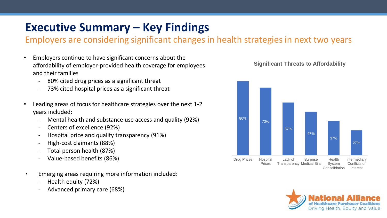## **Executive Summary – Key Findings**

Employers are considering significant changes in health strategies in next two years

- Employers continue to have significant concerns about the affordability of employer-provided health coverage for employees and their families
	- 80% cited drug prices as a significant threat
	- 73% cited hospital prices as a significant threat
- Leading areas of focus for healthcare strategies over the next 1-2 years included:
	- Mental health and substance use access and quality (92%)
	- Centers of excellence (92%)
	- Hospital price and quality transparency (91%)
	- High-cost claimants (88%)
	- Total person health (87%)
	- Value-based benefits (86%)
- Emerging areas requiring more information included:
	- Health equity (72%)
	- Advanced primary care (68%)





**Significant Threats to Affordability**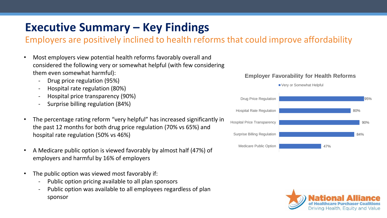## **Executive Summary – Key Findings**

### Employers are positively inclined to health reforms that could improve affordability

- Most employers view potential health reforms favorably overall and considered the following very or somewhat helpful (with few considering them even somewhat harmful):
	- Drug price regulation (95%)
	- Hospital rate regulation (80%)
	- Hospital price transparency (90%)
	- Surprise billing regulation (84%)
- The percentage rating reform "very helpful" has increased significantly in the past 12 months for both drug price regulation (70% vs 65%) and hospital rate regulation (50% vs 46%)
- A Medicare public option is viewed favorably by almost half (47%) of employers and harmful by 16% of employers
- The public option was viewed most favorably if:
	- Public option pricing available to all plan sponsors
	- Public option was available to all employees regardless of plan sponsor

#### **Employer Favorability for Health Reforms**

Very or Somewhat Helpful



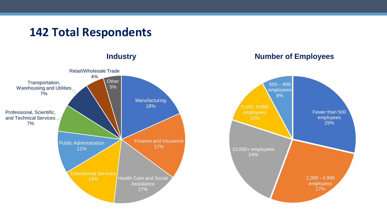### **142 Total Respondents**

**Industry**



#### **Number of Employees**

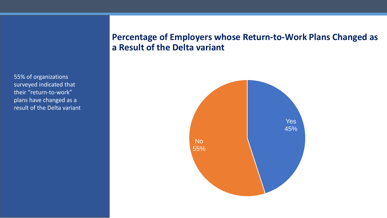55% of organizations surveyed indicated that their "return-to-work" plans have changed as a result of the Delta variant

#### **Percentage of Employers whose Return-to-Work Plans Changed as a Result of the Delta variant**

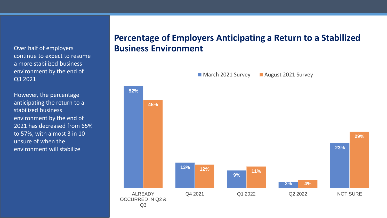Over half of employers continue to expect to resume a more stabilized business environment by the end of Q3 2021

However, the percentage anticipating the return to a stabilized business environment by the end of 2021 has decreased from 65% to 57%, with almost 3 in 10 unsure of when the environment will stabilize

#### **Percentage of Employers Anticipating a Return to a Stabilized Business Environment**

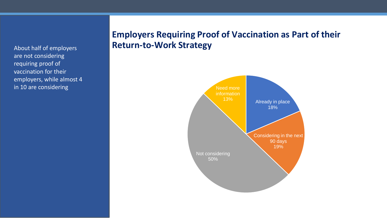About half of employers are not considering requiring proof of vaccination for their employers, while almost 4 in 10 are considering

#### **Employers Requiring Proof of Vaccination as Part of their Return-to-Work Strategy**

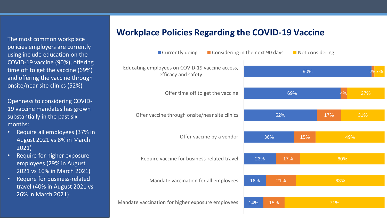The most common workplace policies employers are currently using include education on the COVID-19 vaccine (90%), offering time off to get the vaccine (69%) and offering the vaccine through onsite/near site clinics (52%)

Openness to considering COVID-19 vaccine mandates has grown substantially in the past six months:

- Require all employees (37% in August 2021 vs 8% in March 2021)
- Require for higher exposure employees (29% in August 2021 vs 10% in March 2021)
- Require for business-related travel (40% in August 2021 vs 26% in March 2021)

#### **Workplace Policies Regarding the COVID-19 Vaccine**

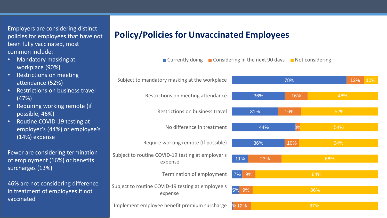Employers are considering distinct policies for employees that have not been fully vaccinated, most common include:

- Mandatory masking at workplace (90%)
- Restrictions on meeting attendance (52%)
- Restrictions on business travel (47%)
- Requiring working remote (if possible, 46%)
- Routine COVID-19 testing at employer's (44%) or employee's (14%) expense

Fewer are considering termination of employment (16%) or benefits surcharges (13%)

46% are not considering difference in treatment of employees if not vaccinated

#### **Policy/Policies for Unvaccinated Employees**

1% 12% 5% 9% 7% 9% 11% 36% 44% 31% 36% 78% 23% 10% 3% 16% 16% 12% 87% 86% 84% 66% 54% 54% 52% 48% 10% Implement employee benefit premium surcharge Subject to routine COVID-19 testing at employee's expense Termination of employment Subject to routine COVID-19 testing at employer's expense Require working remote (If possible) No difference in treatment Restrictions on business travel Restrictions on meeting attendance Subject to mandatory masking at the workplace

■ Currently doing ■ Considering in the next 90 days ■ Not considering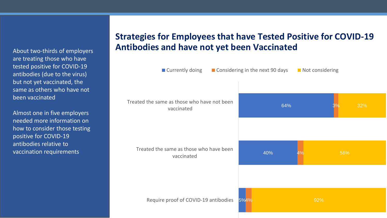About two-thirds of employers are treating those who have tested positive for COVID-19 antibodies (due to the virus) but not yet vaccinated, the same as others who have not been vaccinated

Almost one in five employers needed more information on how to consider those testing positive for COVID-19 antibodies relative to vaccination requirements

### **Strategies for Employees that have Tested Positive for COVID-19 Antibodies and have not yet been Vaccinated**

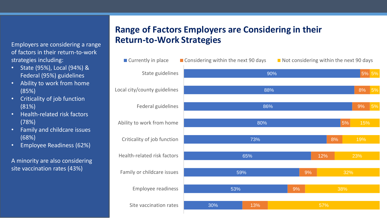Employers are considering a range of factors in their return-to-work strategies including:

- State (95%), Local (94%) & Federal (95%) guidelines
- Ability to work from home (85%)
- Criticality of job function (81%)
- Health-related risk factors (78%)
- Family and childcare issues (68%)
- Employee Readiness (62%)

A minority are also considering site vaccination rates (43%)

#### **Range of Factors Employers are Considering in their Return-to-Work Strategies**

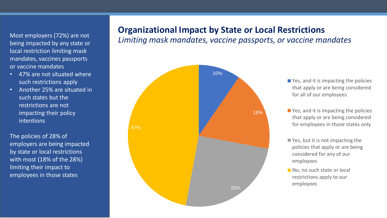Most employers (72%) are not being impacted by any state or local restriction limiting mask mandates, vaccines passports or vaccine mandates

- 47% are not situated where such restrictions apply
- Another 25% are situated in such states but the restrictions are not impacting their policy intentions

The policies of 28% of employers are being impacted by state or local restrictions with most (18% of the 28%) limiting their impact to employees in those states

#### **Organizational Impact by State or Local Restrictions**

*Limiting mask mandates, vaccine passports, or vaccine mandates*



- Yes, and it is impacting the policies that apply or are being considered for all of our employees
- Yes, and it is impacting the policies that apply or are being considered for employees in those states only
- Yes, but it is not impacting the policies that apply or are being considered for any of our employees
- No, no such state or local restrictions apply to our employees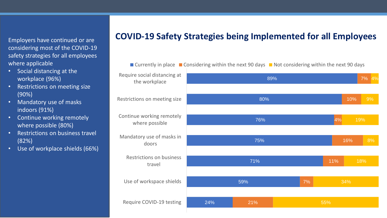Employers have continued or are considering most of the COVID-19 safety strategies for all employees where applicable

- Social distancing at the workplace (96%)
- Restrictions on meeting size (90%)
- Mandatory use of masks indoors (91%)
- Continue working remotely where possible (80%)
- Restrictions on business travel (82%)
- Use of workplace shields (66%)

#### **COVID-19 Safety Strategies being Implemented for all Employees**

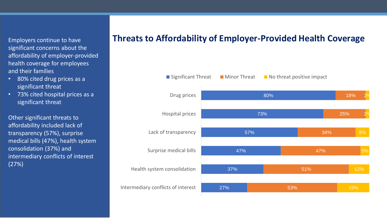Employers continue to have significant concerns about the affordability of employer-provided health coverage for employees and their families

- 80% cited drug prices as a significant threat
- 73% cited hospital prices as a significant threat

Other significant threats to affordability included lack of transparency (57%), surprise medical bills (47%), health system consolidation (37%) and intermediary conflicts of interest (27%)

#### **Threats to Affordability of Employer-Provided Health Coverage**

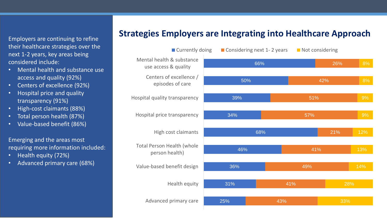Employers are continuing to refine their healthcare strategies over the next 1-2 years, key areas being considered include:

- Mental health and substance use access and quality (92%)
- Centers of excellence (92%)
- Hospital price and quality transparency (91%)
- High-cost claimants (88%)
- Total person health (87%)
- Value-based benefit (86%)

Emerging and the areas most requiring more information included:

- Health equity (72%)
- Advanced primary care (68%)

### **Strategies Employers are Integrating into Healthcare Approach**

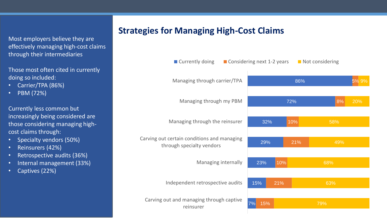Most employers believe they are effectively managing high-cost claims through their intermediaries

Those most often cited in currently doing so included:

- Carrier/TPA (86%)
- PBM (72%)

Currently less common but increasingly being considered are those considering managing highcost claims through:

- Specialty vendors (50%)
- Reinsurers (42%)
- Retrospective audits (36%)
- Internal management (33%)
- Captives (22%)

#### **Strategies for Managing High-Cost Claims**

| ■ Currently doing                                                        | ■ Considering next 1-2 years |     |     | Not considering |       |
|--------------------------------------------------------------------------|------------------------------|-----|-----|-----------------|-------|
| Managing through carrier/TPA                                             |                              |     | 86% |                 | 5% 9% |
| Managing through my PBM                                                  |                              |     | 72% | 8%              | 20%   |
| Managing through the reinsurer                                           | 32%                          |     | 10% | 58%             |       |
| Carving out certain conditions and managing<br>through specialty vendors | 29%                          |     | 21% | 49%             |       |
| Managing internally                                                      | 23%                          | 10% |     | 68%             |       |
| Independent retrospective audits                                         | 15%                          | 21% |     | 63%             |       |
| Carving out and managing through captive<br>reinsurer                    | 7%<br>15%                    |     |     | 79%             |       |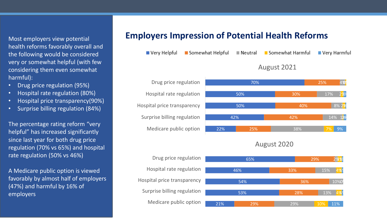Most employers view potential health reforms favorably overall and the following would be considered very or somewhat helpful (with few considering them even somewhat harmful):

- Drug price regulation (95%)
- Hospital rate regulation (80%)
- Hospital price transparency(90%)
- Surprise billing regulation (84%)

The percentage rating reform "very helpful" has increased significantly since last year for both drug price regulation (70% vs 65%) and hospital rate regulation (50% vs 46%)

A Medicare public option is viewed favorably by almost half of employers (47%) and harmful by 16% of employers

#### **Employers Impression of Potential Health Reforms**

|  | ■ Very Helpful ■ Somewhat Helpful ■ Neutral ■ Somewhat Harmful ■ Very Harmful |  |
|--|-------------------------------------------------------------------------------|--|
|  | August 2021                                                                   |  |

70%

50%

50%





42%

30%

40%

25%

17%

14% 12<sup>28</sup>

7% 9%

8% 2<mark>%</mark>

4%<sup>9</sup>

2% 2%

#### August 2021 August 2020

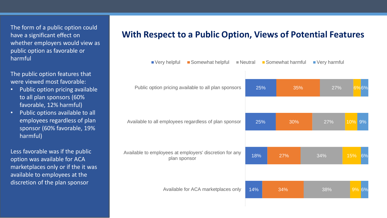The form of a public option could have a significant effect on whether employers would view as public option as favorable or harmful

The public option features that were viewed most favorable:

- Public option pricing available to all plan sponsors (60% favorable, 12% harmful)
- Public options available to all employees regardless of plan sponsor (60% favorable, 19% harmful)

Less favorable was if the public option was available for ACA marketplaces only or if the it was available to employees at the discretion of the plan sponsor

#### **With Respect to a Public Option, Views of Potential Features**